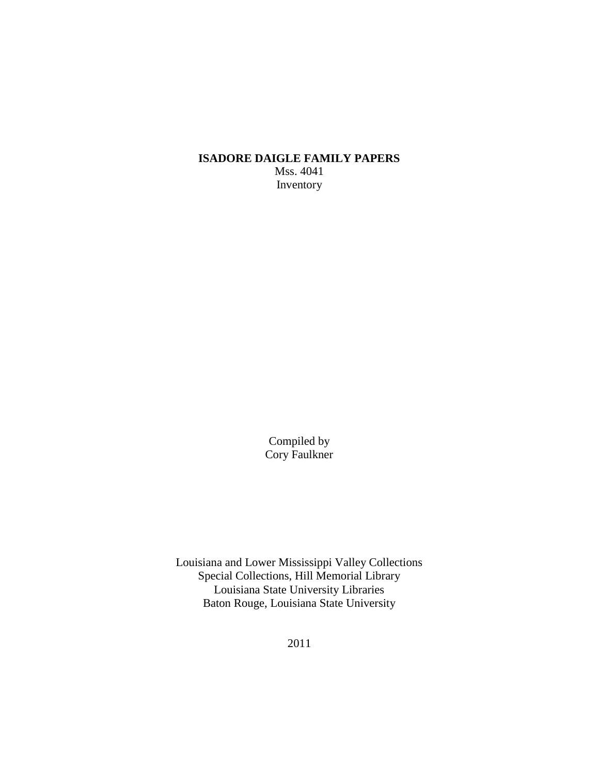**ISADORE DAIGLE FAMILY PAPERS** Mss. 4041 Inventory

> Compiled by Cory Faulkner

Louisiana and Lower Mississippi Valley Collections Special Collections, Hill Memorial Library Louisiana State University Libraries Baton Rouge, Louisiana State University

2011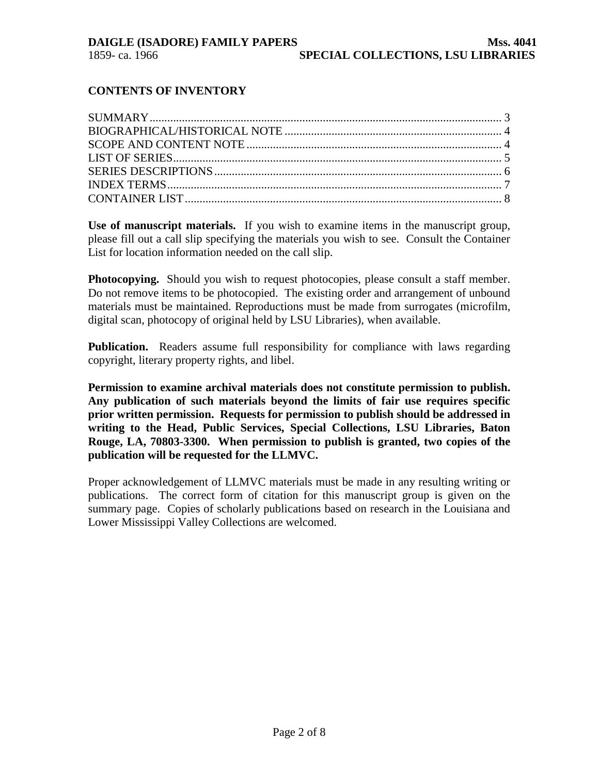# **CONTENTS OF INVENTORY**

**Use of manuscript materials.** If you wish to examine items in the manuscript group, please fill out a call slip specifying the materials you wish to see. Consult the Container List for location information needed on the call slip.

**Photocopying.** Should you wish to request photocopies, please consult a staff member. Do not remove items to be photocopied. The existing order and arrangement of unbound materials must be maintained. Reproductions must be made from surrogates (microfilm, digital scan, photocopy of original held by LSU Libraries), when available.

**Publication.** Readers assume full responsibility for compliance with laws regarding copyright, literary property rights, and libel.

**Permission to examine archival materials does not constitute permission to publish. Any publication of such materials beyond the limits of fair use requires specific prior written permission. Requests for permission to publish should be addressed in writing to the Head, Public Services, Special Collections, LSU Libraries, Baton Rouge, LA, 70803-3300. When permission to publish is granted, two copies of the publication will be requested for the LLMVC.**

Proper acknowledgement of LLMVC materials must be made in any resulting writing or publications. The correct form of citation for this manuscript group is given on the summary page. Copies of scholarly publications based on research in the Louisiana and Lower Mississippi Valley Collections are welcomed.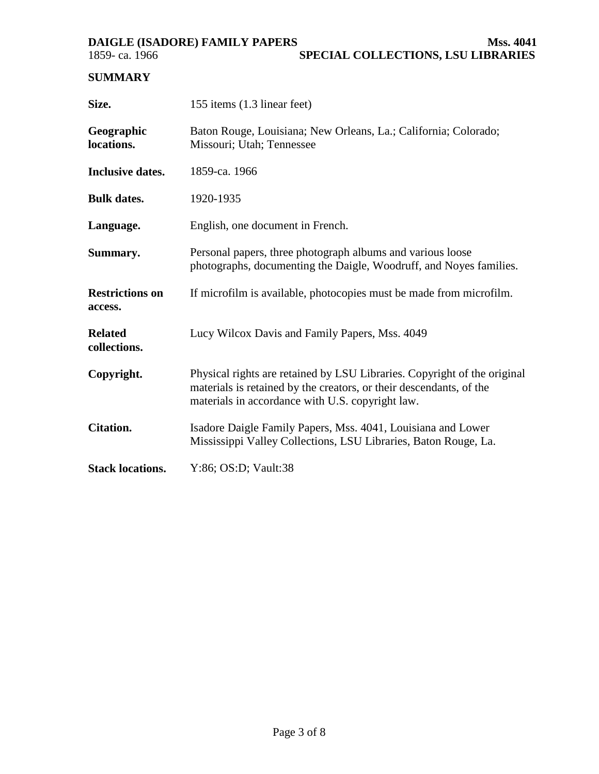<span id="page-2-0"></span>**DAIGLE (ISADORE) FAMILY PAPERS Mss. 4041**<br>**SPECIAL COLLECTIONS, LSU LIBRARIES SPECIAL COLLECTIONS, LSU LIBRARIES** 

# **SUMMARY**

| Size.                             | 155 items (1.3 linear feet)                                                                                                                                                                         |  |  |  |
|-----------------------------------|-----------------------------------------------------------------------------------------------------------------------------------------------------------------------------------------------------|--|--|--|
| Geographic<br>locations.          | Baton Rouge, Louisiana; New Orleans, La.; California; Colorado;<br>Missouri; Utah; Tennessee                                                                                                        |  |  |  |
| <b>Inclusive dates.</b>           | 1859-ca. 1966                                                                                                                                                                                       |  |  |  |
| <b>Bulk dates.</b>                | 1920-1935                                                                                                                                                                                           |  |  |  |
| Language.                         | English, one document in French.                                                                                                                                                                    |  |  |  |
| Summary.                          | Personal papers, three photograph albums and various loose<br>photographs, documenting the Daigle, Woodruff, and Noyes families.                                                                    |  |  |  |
| <b>Restrictions on</b><br>access. | If microfilm is available, photocopies must be made from microfilm.                                                                                                                                 |  |  |  |
| <b>Related</b><br>collections.    | Lucy Wilcox Davis and Family Papers, Mss. 4049                                                                                                                                                      |  |  |  |
| Copyright.                        | Physical rights are retained by LSU Libraries. Copyright of the original<br>materials is retained by the creators, or their descendants, of the<br>materials in accordance with U.S. copyright law. |  |  |  |
| <b>Citation.</b>                  | Isadore Daigle Family Papers, Mss. 4041, Louisiana and Lower<br>Mississippi Valley Collections, LSU Libraries, Baton Rouge, La.                                                                     |  |  |  |
| <b>Stack locations.</b>           | Y:86; OS:D; Vault:38                                                                                                                                                                                |  |  |  |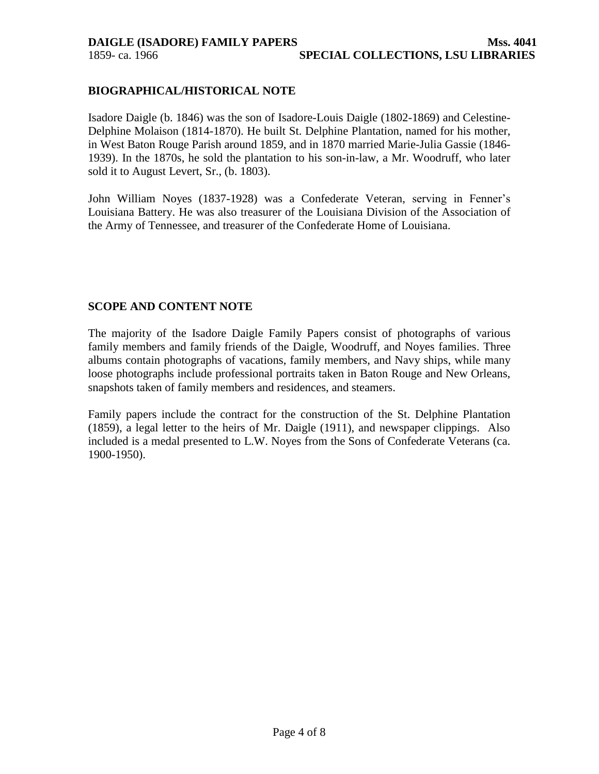## <span id="page-3-0"></span>**BIOGRAPHICAL/HISTORICAL NOTE**

Isadore Daigle (b. 1846) was the son of Isadore-Louis Daigle (1802-1869) and Celestine-Delphine Molaison (1814-1870). He built St. Delphine Plantation, named for his mother, in West Baton Rouge Parish around 1859, and in 1870 married Marie-Julia Gassie (1846- 1939). In the 1870s, he sold the plantation to his son-in-law, a Mr. Woodruff, who later sold it to August Levert, Sr., (b. 1803).

John William Noyes (1837-1928) was a Confederate Veteran, serving in Fenner's Louisiana Battery. He was also treasurer of the Louisiana Division of the Association of the Army of Tennessee, and treasurer of the Confederate Home of Louisiana.

# **SCOPE AND CONTENT NOTE**

The majority of the Isadore Daigle Family Papers consist of photographs of various family members and family friends of the Daigle, Woodruff, and Noyes families. Three albums contain photographs of vacations, family members, and Navy ships, while many loose photographs include professional portraits taken in Baton Rouge and New Orleans, snapshots taken of family members and residences, and steamers.

Family papers include the contract for the construction of the St. Delphine Plantation (1859), a legal letter to the heirs of Mr. Daigle (1911), and newspaper clippings. Also included is a medal presented to L.W. Noyes from the Sons of Confederate Veterans (ca. 1900-1950).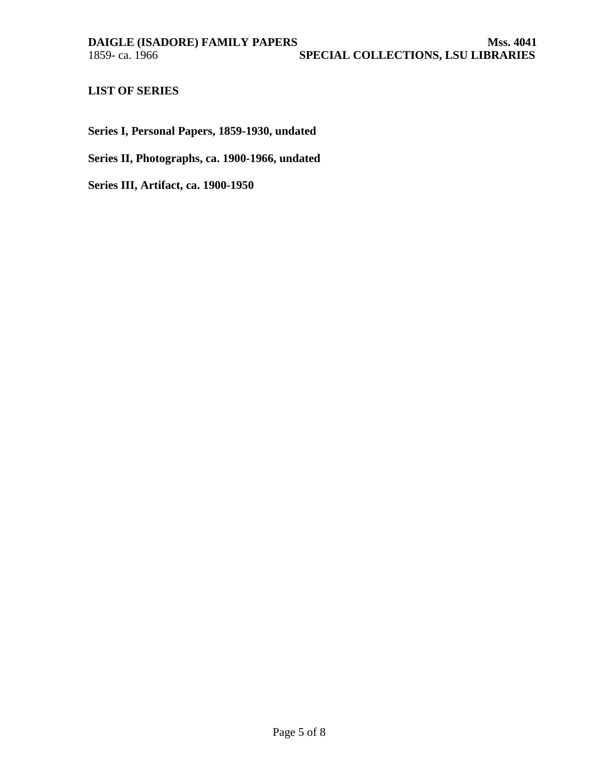# <span id="page-4-0"></span>**LIST OF SERIES**

**Series I, Personal Papers, 1859-1930, undated**

**Series II, Photographs, ca. 1900-1966, undated**

**Series III, Artifact, ca. 1900-1950**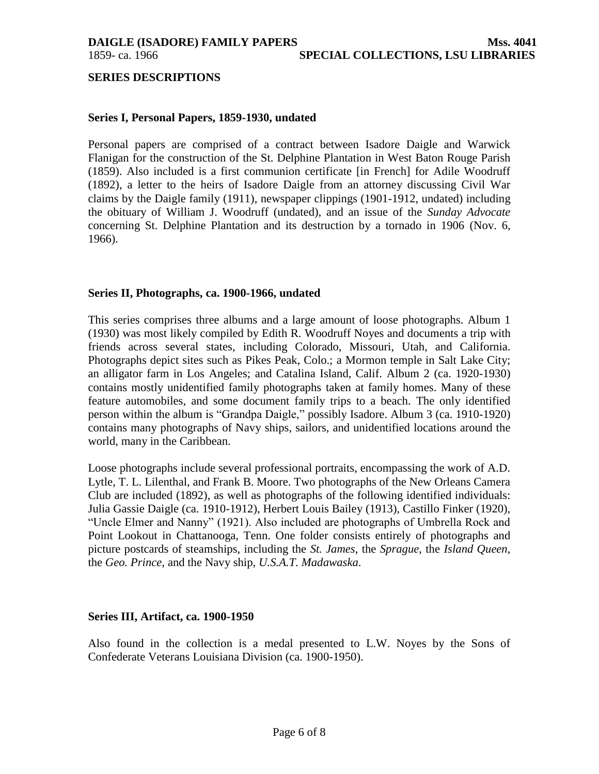<span id="page-5-0"></span>

#### **SERIES DESCRIPTIONS**

### **Series I, Personal Papers, 1859-1930, undated**

Personal papers are comprised of a contract between Isadore Daigle and Warwick Flanigan for the construction of the St. Delphine Plantation in West Baton Rouge Parish (1859). Also included is a first communion certificate [in French] for Adile Woodruff (1892), a letter to the heirs of Isadore Daigle from an attorney discussing Civil War claims by the Daigle family (1911), newspaper clippings (1901-1912, undated) including the obituary of William J. Woodruff (undated), and an issue of the *Sunday Advocate*  concerning St. Delphine Plantation and its destruction by a tornado in 1906 (Nov. 6, 1966).

#### **Series II, Photographs, ca. 1900-1966, undated**

This series comprises three albums and a large amount of loose photographs. Album 1 (1930) was most likely compiled by Edith R. Woodruff Noyes and documents a trip with friends across several states, including Colorado, Missouri, Utah, and California. Photographs depict sites such as Pikes Peak, Colo.; a Mormon temple in Salt Lake City; an alligator farm in Los Angeles; and Catalina Island, Calif. Album 2 (ca. 1920-1930) contains mostly unidentified family photographs taken at family homes. Many of these feature automobiles, and some document family trips to a beach. The only identified person within the album is "Grandpa Daigle," possibly Isadore. Album 3 (ca. 1910-1920) contains many photographs of Navy ships, sailors, and unidentified locations around the world, many in the Caribbean.

Loose photographs include several professional portraits, encompassing the work of A.D. Lytle, T. L. Lilenthal, and Frank B. Moore. Two photographs of the New Orleans Camera Club are included (1892), as well as photographs of the following identified individuals: Julia Gassie Daigle (ca. 1910-1912), Herbert Louis Bailey (1913), Castillo Finker (1920), "Uncle Elmer and Nanny" (1921). Also included are photographs of Umbrella Rock and Point Lookout in Chattanooga, Tenn. One folder consists entirely of photographs and picture postcards of steamships, including the *St. James*, the *Sprague*, the *Island Queen*, the *Geo. Prince*, and the Navy ship, *U.S.A.T. Madawaska*.

#### **Series III, Artifact, ca. 1900-1950**

Also found in the collection is a medal presented to L.W. Noyes by the Sons of Confederate Veterans Louisiana Division (ca. 1900-1950).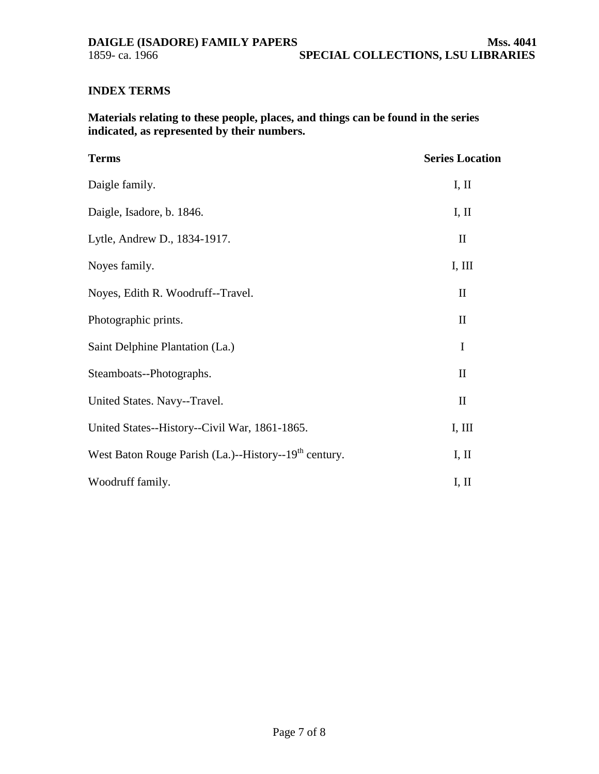# <span id="page-6-0"></span>**INDEX TERMS**

**Materials relating to these people, places, and things can be found in the series indicated, as represented by their numbers.**

| <b>Terms</b>                                                      | <b>Series Location</b>          |
|-------------------------------------------------------------------|---------------------------------|
| Daigle family.                                                    | I, II                           |
| Daigle, Isadore, b. 1846.                                         | I, II                           |
| Lytle, Andrew D., 1834-1917.                                      | $\mathop{\mathrm{II}}\nolimits$ |
| Noyes family.                                                     | I, III                          |
| Noyes, Edith R. Woodruff--Travel.                                 | $\mathbf{I}$                    |
| Photographic prints.                                              | $\mathbf{I}$                    |
| Saint Delphine Plantation (La.)                                   | $\mathbf I$                     |
| Steamboats--Photographs.                                          | $\mathbf{I}$                    |
| United States. Navy--Travel.                                      | $\mathbf{I}$                    |
| United States--History--Civil War, 1861-1865.                     | I, III                          |
| West Baton Rouge Parish (La.)--History--19 <sup>th</sup> century. | I, II                           |
| Woodruff family.                                                  | I, II                           |